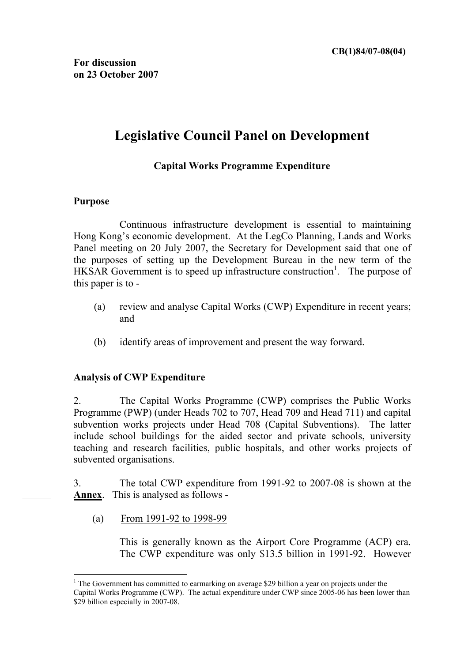# **Legislative Council Panel on Development**

## **Capital Works Programme Expenditure**

#### **Purpose**

 $\overline{a}$ 

Continuous infrastructure development is essential to maintaining Hong Kong's economic development. At the LegCo Planning, Lands and Works Panel meeting on 20 July 2007, the Secretary for Development said that one of the purposes of setting up the Development Bureau in the new term of the HKSAR Government is to speed up infrastructure construction<sup>1</sup>. The purpose of this paper is to -

- (a) review and analyse Capital Works (CWP) Expenditure in recent years; and
- (b) identify areas of improvement and present the way forward.

### **Analysis of CWP Expenditure**

2. The Capital Works Programme (CWP) comprises the Public Works Programme (PWP) (under Heads 702 to 707, Head 709 and Head 711) and capital subvention works projects under Head 708 (Capital Subventions). The latter include school buildings for the aided sector and private schools, university teaching and research facilities, public hospitals, and other works projects of subvented organisations.

3. The total CWP expenditure from 1991-92 to 2007-08 is shown at the **Annex**. This is analysed as follows -

(a) From 1991-92 to 1998-99

This is generally known as the Airport Core Programme (ACP) era. The CWP expenditure was only \$13.5 billion in 1991-92. However

<sup>&</sup>lt;sup>1</sup> The Government has committed to earmarking on average \$29 billion a year on projects under the Capital Works Programme (CWP). The actual expenditure under CWP since 2005-06 has been lower than \$29 billion especially in 2007-08.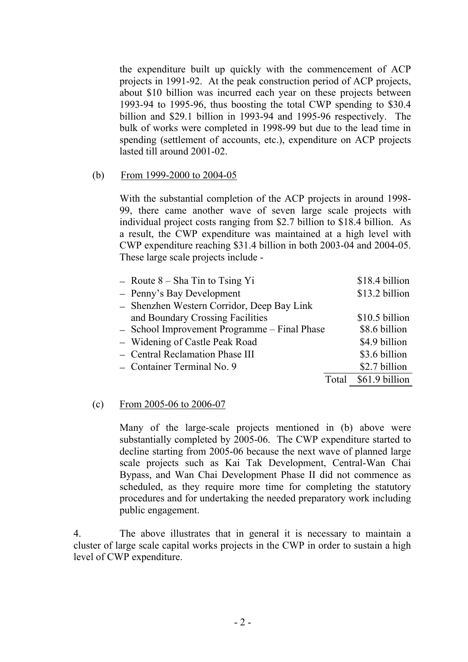the expenditure built up quickly with the commencement of ACP projects in 1991-92. At the peak construction period of ACP projects, about \$10 billion was incurred each year on these projects between 1993-94 to 1995-96, thus boosting the total CWP spending to \$30.4 billion and \$29.1 billion in 1993-94 and 1995-96 respectively. The bulk of works were completed in 1998-99 but due to the lead time in spending (settlement of accounts, etc.), expenditure on ACP projects lasted till around 2001-02.

#### (b) From 1999-2000 to 2004-05

With the substantial completion of the ACP projects in around 1998- 99, there came another wave of seven large scale projects with individual project costs ranging from \$2.7 billion to \$18.4 billion. As a result, the CWP expenditure was maintained at a high level with CWP expenditure reaching \$31.4 billion in both 2003-04 and 2004-05. These large scale projects include -

| $-$ Route $8 -$ Sha Tin to Tsing Yi          |       | \$18.4 billion |
|----------------------------------------------|-------|----------------|
| - Penny's Bay Development                    |       | \$13.2 billion |
| - Shenzhen Western Corridor, Deep Bay Link   |       |                |
| and Boundary Crossing Facilities             |       | \$10.5 billion |
| - School Improvement Programme - Final Phase |       | \$8.6 billion  |
| - Widening of Castle Peak Road               |       | \$4.9 billion  |
| - Central Reclamation Phase III              |       | \$3.6 billion  |
| - Container Terminal No. 9                   |       | \$2.7 billion  |
|                                              | Total | \$61.9 billion |

#### (c) From 2005-06 to 2006-07

Many of the large-scale projects mentioned in (b) above were substantially completed by 2005-06. The CWP expenditure started to decline starting from 2005-06 because the next wave of planned large scale projects such as Kai Tak Development, Central-Wan Chai Bypass, and Wan Chai Development Phase II did not commence as scheduled, as they require more time for completing the statutory procedures and for undertaking the needed preparatory work including public engagement.

4. The above illustrates that in general it is necessary to maintain a cluster of large scale capital works projects in the CWP in order to sustain a high level of CWP expenditure.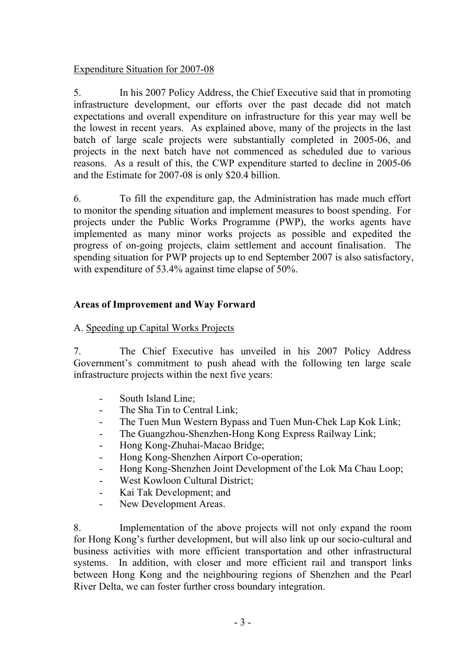## Expenditure Situation for 2007-08

5. In his 2007 Policy Address, the Chief Executive said that in promoting infrastructure development, our efforts over the past decade did not match expectations and overall expenditure on infrastructure for this year may well be the lowest in recent years. As explained above, many of the projects in the last batch of large scale projects were substantially completed in 2005-06, and projects in the next batch have not commenced as scheduled due to various reasons. As a result of this, the CWP expenditure started to decline in 2005-06 and the Estimate for 2007-08 is only \$20.4 billion.

6. To fill the expenditure gap, the Administration has made much effort to monitor the spending situation and implement measures to boost spending. For projects under the Public Works Programme (PWP), the works agents have implemented as many minor works projects as possible and expedited the progress of on-going projects, claim settlement and account finalisation. The spending situation for PWP projects up to end September 2007 is also satisfactory, with expenditure of 53.4% against time elapse of 50%.

## **Areas of Improvement and Way Forward**

## A. Speeding up Capital Works Projects

7. The Chief Executive has unveiled in his 2007 Policy Address Government's commitment to push ahead with the following ten large scale infrastructure projects within the next five years:

- South Island Line;
- The Sha Tin to Central Link;
- The Tuen Mun Western Bypass and Tuen Mun-Chek Lap Kok Link;
- The Guangzhou-Shenzhen-Hong Kong Express Railway Link;
- Hong Kong-Zhuhai-Macao Bridge;
- Hong Kong-Shenzhen Airport Co-operation;
- Hong Kong-Shenzhen Joint Development of the Lok Ma Chau Loop;
- West Kowloon Cultural District;
- Kai Tak Development; and
- New Development Areas.

8. Implementation of the above projects will not only expand the room for Hong Kong's further development, but will also link up our socio-cultural and business activities with more efficient transportation and other infrastructural systems. In addition, with closer and more efficient rail and transport links between Hong Kong and the neighbouring regions of Shenzhen and the Pearl River Delta, we can foster further cross boundary integration.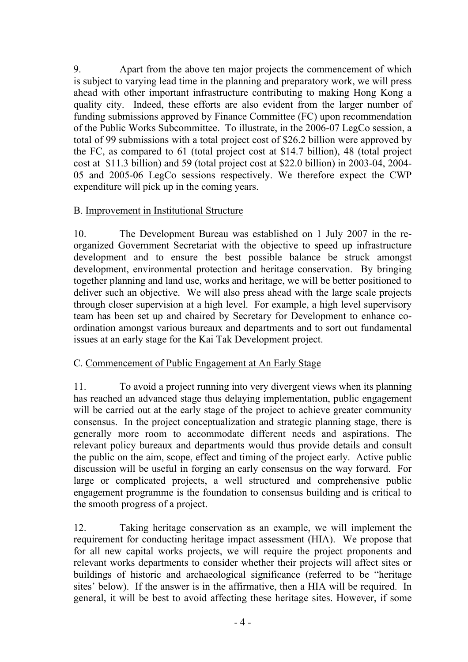9. Apart from the above ten major projects the commencement of which is subject to varying lead time in the planning and preparatory work, we will press ahead with other important infrastructure contributing to making Hong Kong a quality city. Indeed, these efforts are also evident from the larger number of funding submissions approved by Finance Committee (FC) upon recommendation of the Public Works Subcommittee. To illustrate, in the 2006-07 LegCo session, a total of 99 submissions with a total project cost of \$26.2 billion were approved by the FC, as compared to 61 (total project cost at \$14.7 billion), 48 (total project cost at \$11.3 billion) and 59 (total project cost at \$22.0 billion) in 2003-04, 2004- 05 and 2005-06 LegCo sessions respectively. We therefore expect the CWP expenditure will pick up in the coming years.

## B. Improvement in Institutional Structure

10. The Development Bureau was established on 1 July 2007 in the reorganized Government Secretariat with the objective to speed up infrastructure development and to ensure the best possible balance be struck amongst development, environmental protection and heritage conservation. By bringing together planning and land use, works and heritage, we will be better positioned to deliver such an objective. We will also press ahead with the large scale projects through closer supervision at a high level. For example, a high level supervisory team has been set up and chaired by Secretary for Development to enhance coordination amongst various bureaux and departments and to sort out fundamental issues at an early stage for the Kai Tak Development project.

### C. Commencement of Public Engagement at An Early Stage

11. To avoid a project running into very divergent views when its planning has reached an advanced stage thus delaying implementation, public engagement will be carried out at the early stage of the project to achieve greater community consensus. In the project conceptualization and strategic planning stage, there is generally more room to accommodate different needs and aspirations. The relevant policy bureaux and departments would thus provide details and consult the public on the aim, scope, effect and timing of the project early. Active public discussion will be useful in forging an early consensus on the way forward. For large or complicated projects, a well structured and comprehensive public engagement programme is the foundation to consensus building and is critical to the smooth progress of a project.

12. Taking heritage conservation as an example, we will implement the requirement for conducting heritage impact assessment (HIA). We propose that for all new capital works projects, we will require the project proponents and relevant works departments to consider whether their projects will affect sites or buildings of historic and archaeological significance (referred to be "heritage sites' below). If the answer is in the affirmative, then a HIA will be required. In general, it will be best to avoid affecting these heritage sites. However, if some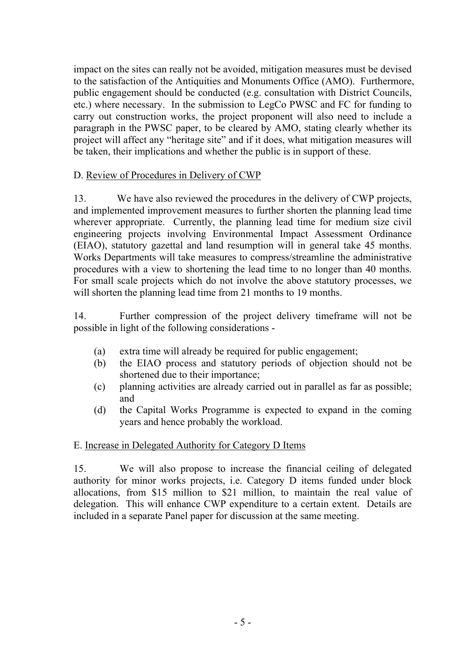impact on the sites can really not be avoided, mitigation measures must be devised to the satisfaction of the Antiquities and Monuments Office (AMO). Furthermore, public engagement should be conducted (e.g. consultation with District Councils, etc.) where necessary. In the submission to LegCo PWSC and FC for funding to carry out construction works, the project proponent will also need to include a paragraph in the PWSC paper, to be cleared by AMO, stating clearly whether its project will affect any "heritage site" and if it does, what mitigation measures will be taken, their implications and whether the public is in support of these.

#### D. Review of Procedures in Delivery of CWP

13. We have also reviewed the procedures in the delivery of CWP projects, and implemented improvement measures to further shorten the planning lead time wherever appropriate. Currently, the planning lead time for medium size civil engineering projects involving Environmental Impact Assessment Ordinance (EIAO), statutory gazettal and land resumption will in general take 45 months. Works Departments will take measures to compress/streamline the administrative procedures with a view to shortening the lead time to no longer than 40 months. For small scale projects which do not involve the above statutory processes, we will shorten the planning lead time from 21 months to 19 months.

14. Further compression of the project delivery timeframe will not be possible in light of the following considerations -

- (a) extra time will already be required for public engagement;
- (b) the EIAO process and statutory periods of objection should not be shortened due to their importance;
- (c) planning activities are already carried out in parallel as far as possible; and
- (d) the Capital Works Programme is expected to expand in the coming years and hence probably the workload.

### E. Increase in Delegated Authority for Category D Items

15. We will also propose to increase the financial ceiling of delegated authority for minor works projects, i.e. Category D items funded under block allocations, from \$15 million to \$21 million, to maintain the real value of delegation. This will enhance CWP expenditure to a certain extent. Details are included in a separate Panel paper for discussion at the same meeting.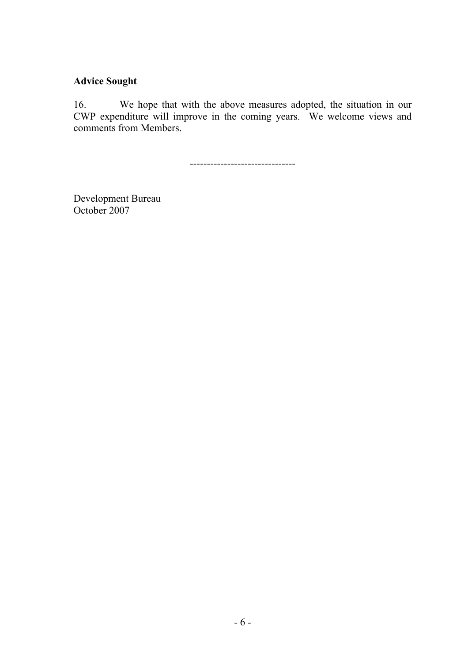## **Advice Sought**

16. We hope that with the above measures adopted, the situation in our CWP expenditure will improve in the coming years. We welcome views and comments from Members.

-------------------------------

Development Bureau October 2007